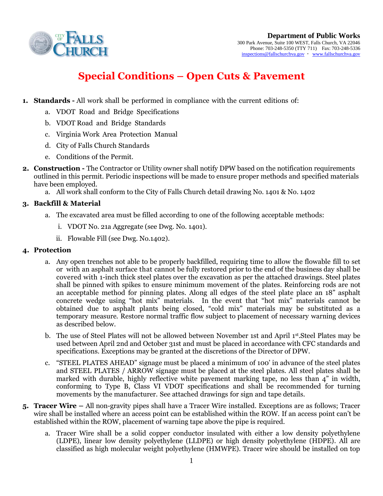

# **Special Conditions – Open Cuts & Pavement**

- **1. Standards -** All work shall be performed in compliance with the current editions of:
	- a. VDOT Road and Bridge Specifications
	- b. VDOT Road and Bridge Standards
	- c. Virginia Work Area Protection Manual
	- d. City of Falls Church Standards
	- e. Conditions of the Permit.
- **2. Construction -** The Contractor or Utility owner shall notify DPW based on the notification requirements outlined in this permit. Periodic inspections will be made to ensure proper methods and specified materials have been employed.
	- a. All work shall conform to the City of Falls Church detail drawing No. 1401 & No. 1402

## **3. Backfill & Material**

- a. The excavated area must be filled according to one of the following acceptable methods:
	- i. VDOT No. 21a Aggregate (see Dwg. No. 1401).
	- ii. Flowable Fill (see Dwg. No.1402).

### **4. Protection**

- a. Any open trenches not able to be properly backfilled, requiring time to allow the flowable fill to set or with an asphalt surface that cannot be fully restored prior to the end of the business day shall be covered with 1-inch thick steel plates over the excavation as per the attached drawings. Steel plates shall be pinned with spikes to ensure minimum movement of the plates. Reinforcing rods are not an acceptable method for pinning plates. Along all edges of the steel plate place an 18" asphalt concrete wedge using "hot mix" materials. In the event that "hot mix" materials cannot be obtained due to asphalt plants being closed, "cold mix" materials may be substituted as a temporary measure. Restore normal traffic flow subject to placement of necessary warning devices as described below.
- b. The use of Steel Plates will not be allowed between November 1st and April 1st Steel Plates may be used between April 2nd and October 31st and must be placed in accordance with CFC standards and specifications. Exceptions may be granted at the discretions of the Director of DPW.
- c. "STEEL PLATES AHEAD" signage must be placed a minimum of 100' in advance of the steel plates and STEEL PLATES / ARROW signage must be placed at the steel plates. All steel plates shall be marked with durable, highly reflective white pavement marking tape, no less than 4" in width, conforming to Type B, Class VI VDOT specifications and shall be recommended for turning movements by the manufacturer. See attached drawings for sign and tape details.
- **5. Tracer Wire –** All non-gravity pipes shall have a Tracer Wire installed. Exceptions are as follows; Tracer wire shall be installed where an access point can be established within the ROW. If an access point can't be established within the ROW, placement of warning tape above the pipe is required.
	- a. Tracer Wire shall be a solid copper conductor insulated with either a low density polyethylene (LDPE), linear low density polyethylene (LLDPE) or high density polyethylene (HDPE). All are classified as high molecular weight polyethylene (HMWPE). Tracer wire should be installed on top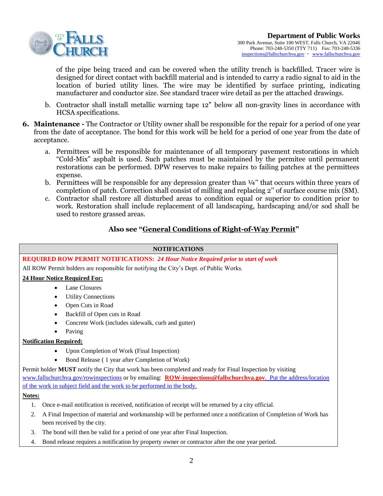

of the pipe being traced and can be covered when the utility trench is backfilled. Tracer wire is designed for direct contact with backfill material and is intended to carry a radio signal to aid in the location of buried utility lines. The wire may be identified by surface printing, indicating manufacturer and conductor size. See standard tracer wire detail as per the attached drawings.

- b. Contractor shall install metallic warning tape 12" below all non-gravity lines in accordance with HCSA specifications.
- **6. Maintenance -** The Contractor or Utility owner shall be responsible for the repair for a period of one year from the date of acceptance. The bond for this work will be held for a period of one year from the date of acceptance.
	- a. Permittees will be responsible for maintenance of all temporary pavement restorations in which "Cold-Mix" asphalt is used. Such patches must be maintained by the permitee until permanent restorations can be performed. DPW reserves to make repairs to failing patches at the permittees expense.
	- b. Permittees will be responsible for any depression greater than ¼'' that occurs within three years of completion of patch. Correction shall consist of milling and replacing 2'' of surface course mix (SM).
	- c. Contractor shall restore all disturbed areas to condition equal or superior to condition prior to work. Restoration shall include replacement of all landscaping, hardscaping and/or sod shall be used to restore grassed areas.

### **Also see "General Conditions of Right-of-Way Permit"**

### **NOTIFICATIONS**

**REQUIRED ROW PERMIT NOTIFICATIONS:** *24 Hour Notice Required prior to start of work* All ROW Permit holders are responsible for notifying the City's Dept. of Public Works. **24 Hour Notice Required For:** Lane Closures Utility Connections Open Cuts in Road Backfill of Open cuts in Road Concrete Work (includes sidewalk, curb and gutter) Paving **Notification Required:** Upon Completion of Work (Final Inspection) Bond Release ( 1 year after Completion of Work) Permit holder **MUST** notify the City that work has been completed and ready for Final Inspection by visiting [www.fallschurchva.gov/rowinspections](http://www.fallschurchva.gov/ROWinspections) or by emailing: **[ROW-inspections@fallschurchva.gov](mailto:rowinspections@fallschurchva.gov)**. Put the address/location of the work in subject field and the work to be performed in the body. **Notes:** 1. Once e-mail notification is received, notification of receipt will be returned by a city official. 2. A Final Inspection of material and workmanship will be performed once a notification of Completion of Work has been received by the city. 3. The bond will then be valid for a period of one year after Final Inspection. 4. Bond release requires a notification by property owner or contractor after the one year period.